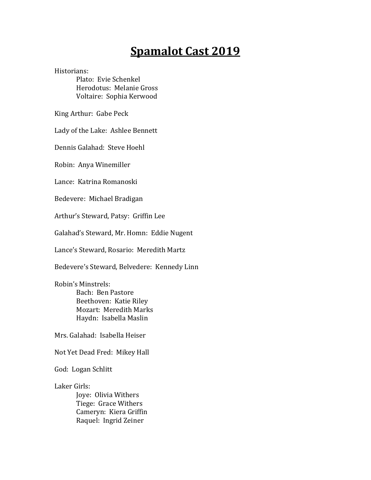## **Spamalot Cast 2019**

Historians:

Plato: Evie Schenkel Herodotus: Melanie Gross Voltaire: Sophia Kerwood

King Arthur: Gabe Peck

Lady of the Lake: Ashlee Bennett

Dennis Galahad: Steve Hoehl

Robin: Anya Winemiller

Lance: Katrina Romanoski

Bedevere: Michael Bradigan

Arthur's Steward, Patsy: Griffin Lee

Galahad's Steward, Mr. Homn: Eddie Nugent

Lance's Steward, Rosario: Meredith Martz

Bedevere's Steward, Belvedere: Kennedy Linn

Robin's Minstrels: Bach: Ben Pastore Beethoven: Katie Riley

Mozart: Meredith Marks Haydn: Isabella Maslin

Mrs. Galahad: Isabella Heiser

Not Yet Dead Fred: Mikey Hall

God: Logan Schlitt

Laker Girls:

Joye: Olivia Withers Tiege: Grace Withers Cameryn: Kiera Griffin Raquel: Ingrid Zeiner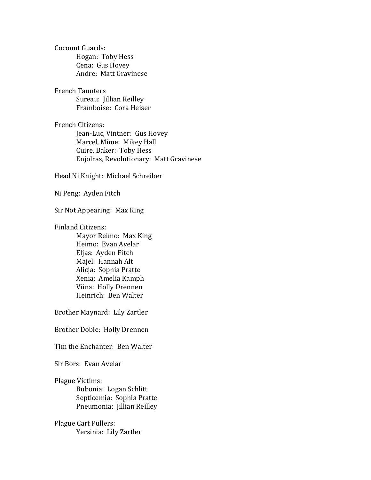Coconut Guards: Hogan: Toby Hess Cena: Gus Hovey Andre: Matt Gravinese

French Taunters Sureau: Jillian Reilley Framboise: Cora Heiser

French Citizens: Jean-Luc, Vintner: Gus Hovey Marcel, Mime: Mikey Hall Cuire, Baker: Toby Hess Enjolras, Revolutionary: Matt Gravinese

Head Ni Knight: Michael Schreiber

Ni Peng: Ayden Fitch

Sir Not Appearing: Max King

Finland Citizens:

Mayor Reimo: Max King Heimo: Evan Avelar Eljas: Ayden Fitch Majel: Hannah Alt Alicja: Sophia Pratte Xenia: Amelia Kamph Viina: Holly Drennen Heinrich: Ben Walter

Brother Maynard: Lily Zartler

Brother Dobie: Holly Drennen

Tim the Enchanter: Ben Walter

Sir Bors: Evan Avelar

Plague Victims: Bubonia: Logan Schlitt Septicemia: Sophia Pratte Pneumonia: Jillian Reilley

Plague Cart Pullers: Yersinia: Lily Zartler